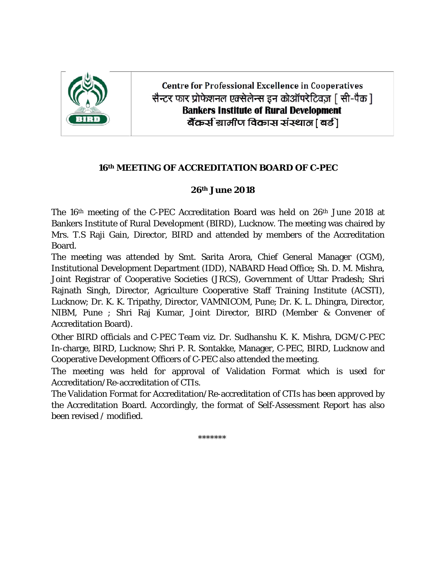

**Centre for Professional Excellence in Cooperatives** सैन्टर फार प्रोफेशनल एक्सेलेन्स इन कोऑपरेटिवज [ सी-पैक ] **Bankers Institute of Rural Development** बैंकर्स ग्रामीण विकास संस्थात [ बर्ड ]

## **16th MEETING OF ACCREDITATION BOARD OF C-PEC**

## **26th June 2018**

The 16th meeting of the C-PEC Accreditation Board was held on 26th June 2018 at Bankers Institute of Rural Development (BIRD), Lucknow. The meeting was chaired by Mrs. T.S Raji Gain, Director, BIRD and attended by members of the Accreditation Board.

The meeting was attended by Smt. Sarita Arora, Chief General Manager (CGM), Institutional Development Department (IDD), NABARD Head Office; Sh. D. M. Mishra, Joint Registrar of Cooperative Societies (JRCS), Government of Uttar Pradesh; Shri Rajnath Singh, Director, Agriculture Cooperative Staff Training Institute (ACSTI), Lucknow; Dr. K. K. Tripathy, Director, VAMNICOM, Pune; Dr. K. L. Dhingra, Director, NIBM, Pune ; Shri Raj Kumar, Joint Director, BIRD (Member & Convener of Accreditation Board).

Other BIRD officials and C-PEC Team viz. Dr. Sudhanshu K. K. Mishra, DGM/C-PEC In-charge, BIRD, Lucknow; Shri P. R. Sontakke, Manager, C-PEC, BIRD, Lucknow and Cooperative Development Officers of C-PEC also attended the meeting.

The meeting was held for approval of Validation Format which is used for Accreditation/Re-accreditation of CTIs.

The Validation Format for Accreditation/Re-accreditation of CTIs has been approved by the Accreditation Board. Accordingly, the format of Self-Assessment Report has also been revised / modified.

\*\*\*\*\*\*\*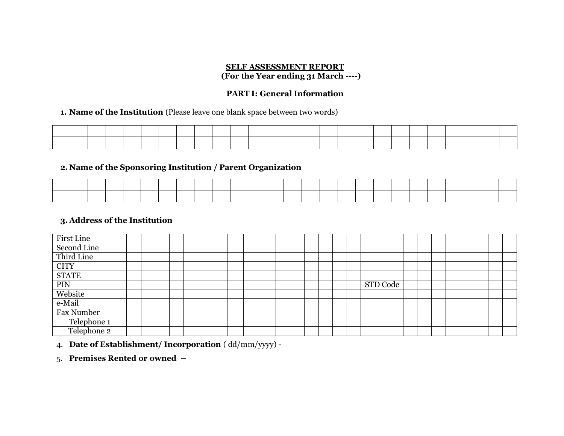#### **SELF ASSESSMENT REPORT (For the Year ending 31 March ----)**

## **PART I: General Information**

#### 1. **Name of the Institution** (Please leave one blank space between two words)

#### **2. Name of the Sponsoring Institution / Parent Organization**

#### **3. Address of the Institution**

| First Line   |  |  |  |  |  |  |  |  |          |  |  |  |  |
|--------------|--|--|--|--|--|--|--|--|----------|--|--|--|--|
| Second Line  |  |  |  |  |  |  |  |  |          |  |  |  |  |
| Third Line   |  |  |  |  |  |  |  |  |          |  |  |  |  |
| <b>CITY</b>  |  |  |  |  |  |  |  |  |          |  |  |  |  |
| <b>STATE</b> |  |  |  |  |  |  |  |  |          |  |  |  |  |
| PIN          |  |  |  |  |  |  |  |  | STD Code |  |  |  |  |
| Website      |  |  |  |  |  |  |  |  |          |  |  |  |  |
| e-Mail       |  |  |  |  |  |  |  |  |          |  |  |  |  |
| Fax Number   |  |  |  |  |  |  |  |  |          |  |  |  |  |
| Telephone 1  |  |  |  |  |  |  |  |  |          |  |  |  |  |
| Telephone 2  |  |  |  |  |  |  |  |  |          |  |  |  |  |

#### 4. **Date of Establishment/ Incorporation** ( dd/mm/yyyy) -

#### 5. **Premises Rented or owned –**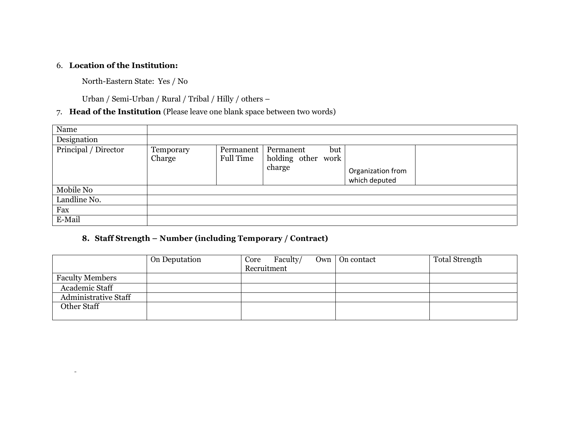#### 6. **Location of the Institution:**

 $\sim$ 

North-Eastern State: Yes / No

Urban / Semi-Urban / Rural / Tribal / Hilly / others –

## 7. **Head of the Institution** (Please leave one blank space between two words)

| Name                 |                     |                        |                                           |                          |  |
|----------------------|---------------------|------------------------|-------------------------------------------|--------------------------|--|
| Designation          |                     |                        |                                           |                          |  |
| Principal / Director | Temporary<br>Charge | Permanent<br>Full Time | Permanent<br>holding other work<br>charge | but<br>Organization from |  |
| Mobile No            |                     |                        |                                           | which deputed            |  |
| Landline No.         |                     |                        |                                           |                          |  |
| Fax                  |                     |                        |                                           |                          |  |
| E-Mail               |                     |                        |                                           |                          |  |

## **8. Staff Strength – Number (including Temporary / Contract)**

|                             | On Deputation | Faculty/<br>Core<br>Recruitment | $Own \mid On contact$ | Total Strength |
|-----------------------------|---------------|---------------------------------|-----------------------|----------------|
| <b>Faculty Members</b>      |               |                                 |                       |                |
| Academic Staff              |               |                                 |                       |                |
| <b>Administrative Staff</b> |               |                                 |                       |                |
| Other Staff                 |               |                                 |                       |                |
|                             |               |                                 |                       |                |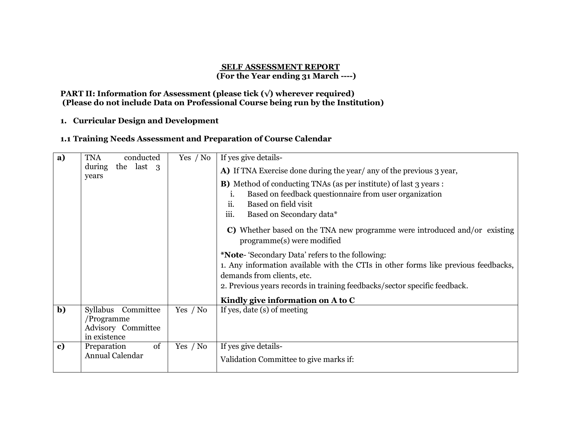#### **SELF ASSESSMENT REPORT (For the Year ending 31 March ----)**

#### **PART II: Information for Assessment (please tick (√) wherever required) (Please do not include Data on Professional Course being run by the Institution)**

#### **1. Curricular Design and Development**

#### **1.1 Training Needs Assessment and Preparation of Course Calendar**

| a)           | <b>TNA</b><br>conducted                                                | Yes / No | If yes give details-                                                                                                                                                                                                                                      |
|--------------|------------------------------------------------------------------------|----------|-----------------------------------------------------------------------------------------------------------------------------------------------------------------------------------------------------------------------------------------------------------|
|              | the last 3<br>during<br>years                                          |          | A) If TNA Exercise done during the year/ any of the previous 3 year,                                                                                                                                                                                      |
|              |                                                                        |          | <b>B)</b> Method of conducting TNAs (as per institute) of last 3 years :<br>Based on feedback questionnaire from user organization<br>$\mathbf{1}$<br>ii.<br>Based on field visit<br>iii.<br>Based on Secondary data*                                     |
|              |                                                                        |          | C) Whether based on the TNA new programme were introduced and/or existing<br>programme(s) were modified                                                                                                                                                   |
|              |                                                                        |          | * <b>Note-</b> 'Secondary Data' refers to the following:<br>1. Any information available with the CTIs in other forms like previous feedbacks,<br>demands from clients, etc.<br>2. Previous years records in training feedbacks/sector specific feedback. |
|              |                                                                        |          | Kindly give information on A to C                                                                                                                                                                                                                         |
| $\mathbf{b}$ | Syllabus Committee<br>/Programme<br>Advisory Committee<br>in existence | Yes / No | If yes, date (s) of meeting                                                                                                                                                                                                                               |
| $\mathbf{c}$ | of<br>Preparation<br>Annual Calendar                                   | Yes / No | If yes give details-<br>Validation Committee to give marks if:                                                                                                                                                                                            |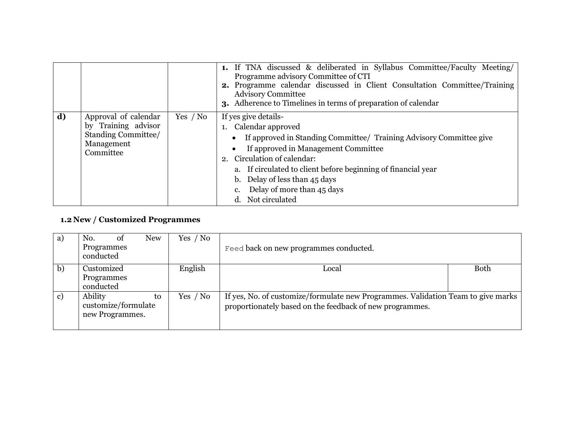|    |                                                                                               |            | <b>1.</b> If TNA discussed & deliberated in Syllabus Committee/Faculty Meeting/<br>Programme advisory Committee of CTI<br>2. Programme calendar discussed in Client Consultation Committee/Training<br><b>Advisory Committee</b><br>3. Adherence to Timelines in terms of preparation of calendar                                              |
|----|-----------------------------------------------------------------------------------------------|------------|------------------------------------------------------------------------------------------------------------------------------------------------------------------------------------------------------------------------------------------------------------------------------------------------------------------------------------------------|
| d) | Approval of calendar<br>by Training advisor<br>Standing Committee/<br>Management<br>Committee | Yes $/$ No | If yes give details-<br>1. Calendar approved<br>If approved in Standing Committee/ Training Advisory Committee give<br>If approved in Management Committee<br>2. Circulation of calendar:<br>a. If circulated to client before beginning of financial year<br>b. Delay of less than 45 days<br>Delay of more than 45 days<br>d. Not circulated |

## **1.2 New / Customized Programmes**

| a) | <b>New</b><br>No.<br>Ωt<br>Programmes<br>conducted      | Yes / No | Feed back on new programmes conducted.                                                                                                       |             |
|----|---------------------------------------------------------|----------|----------------------------------------------------------------------------------------------------------------------------------------------|-------------|
| b) | Customized<br>Programmes<br>conducted                   | English  | Local                                                                                                                                        | <b>Both</b> |
| c) | Ability<br>to<br>customize/formulate<br>new Programmes. | Yes / No | If yes, No. of customize/formulate new Programmes. Validation Team to give marks<br>proportionately based on the feedback of new programmes. |             |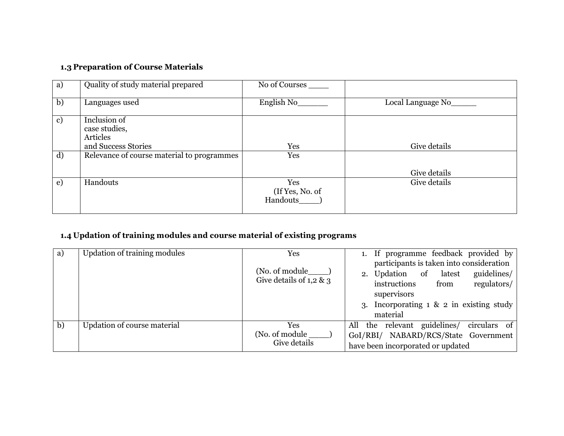# **1.3 Preparation of Course Materials**

| a) | Quality of study material prepared         | No of Courses                      |                    |
|----|--------------------------------------------|------------------------------------|--------------------|
| b) | Languages used                             | English No                         | Local Language No_ |
| c) | Inclusion of<br>case studies,<br>Articles  |                                    |                    |
|    | and Success Stories                        | Yes                                | Give details       |
| d) | Relevance of course material to programmes | Yes                                | Give details       |
| e) | Handouts                                   | Yes<br>(If Yes, No. of<br>Handouts | Give details       |

## **1.4 Updation of training modules and course material of existing programs**

| a) | Updation of training modules | Yes                                       | 1. If programme feedback provided by                                                                                                   |
|----|------------------------------|-------------------------------------------|----------------------------------------------------------------------------------------------------------------------------------------|
|    |                              | (No. of module<br>Give details of 1,2 & 3 | participants is taken into consideration<br>guidelines/<br>2. Updation of latest<br>instructions<br>regulators/<br>from<br>supervisors |
|    |                              |                                           | 3. Incorporating $1 \& 2$ in existing study<br>material                                                                                |
| b) | Updation of course material  | Yes<br>(No. of module<br>Give details     | circulars of<br>the relevant guidelines/<br>All<br>GoI/RBI/ NABARD/RCS/State Government<br>have been incorporated or updated           |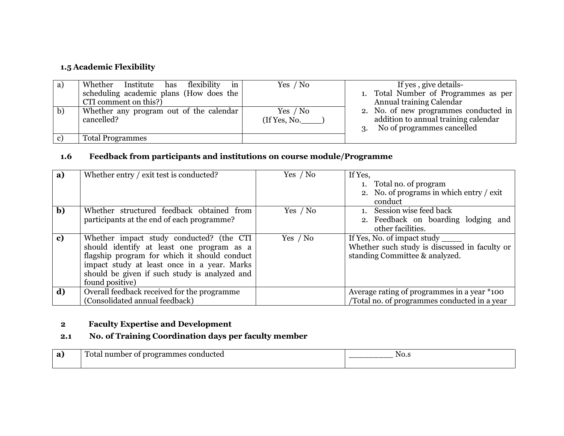## **1.5 Academic Flexibility**

| a) | in<br>Whether Institute has flexibility               | Yes / No                   | If yes, give details-                                                                                             |
|----|-------------------------------------------------------|----------------------------|-------------------------------------------------------------------------------------------------------------------|
|    | scheduling academic plans (How does the               |                            | 1. Total Number of Programmes as per                                                                              |
|    | CTI comment on this?)                                 |                            | Annual training Calendar                                                                                          |
| b) | Whether any program out of the calendar<br>cancelled? | Yes $/$ No<br>(If Yes, No. | 2. No. of new programmes conducted in<br>addition to annual training calendar<br>No of programmes cancelled<br>3. |
| C) | <b>Total Programmes</b>                               |                            |                                                                                                                   |

#### **1.6 Feedback from participants and institutions on course module/Programme**

| a) | Whether entry / exit test is conducted?                                                                                                                                                                                                                  | Yes / No   | If Yes,<br>1. Total no. of program<br>2. No. of programs in which entry / exit<br>conduct                      |
|----|----------------------------------------------------------------------------------------------------------------------------------------------------------------------------------------------------------------------------------------------------------|------------|----------------------------------------------------------------------------------------------------------------|
| b) | Whether structured feedback obtained from<br>participants at the end of each programme?                                                                                                                                                                  | Yes / No   | 1. Session wise feed back<br>2. Feedback on boarding lodging and<br>other facilities.                          |
| c) | Whether impact study conducted? (the CTI<br>should identify at least one program as a<br>flagship program for which it should conduct<br>impact study at least once in a year. Marks<br>should be given if such study is analyzed and<br>found positive) | Yes $/$ No | If Yes, No. of impact study<br>Whether such study is discussed in faculty or<br>standing Committee & analyzed. |
| d) | Overall feedback received for the programme<br>(Consolidated annual feedback)                                                                                                                                                                            |            | Average rating of programmes in a year $*$ 100<br>Total no. of programmes conducted in a year                  |

## **2 Faculty Expertise and Development**

## **2.1 No. of Training Coordination days per faculty member**

| a) | ducted<br>`otal<br>zrammes<br>гэг<br>™uumper<br>$\cdots$ | NO.S<br>__________ |
|----|----------------------------------------------------------|--------------------|
|    |                                                          |                    |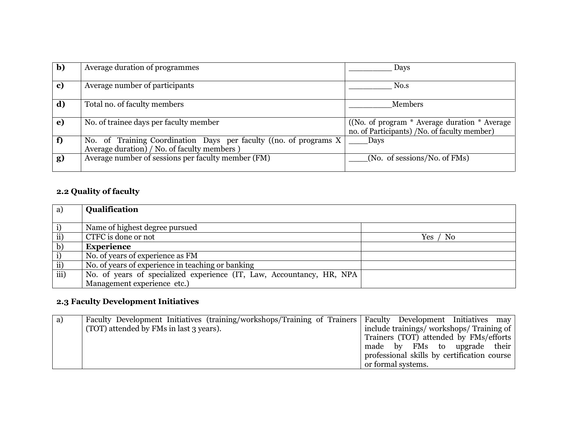| b) | Average duration of programmes                                                                                     | Days                                                                                           |
|----|--------------------------------------------------------------------------------------------------------------------|------------------------------------------------------------------------------------------------|
| c) | Average number of participants                                                                                     | No.s                                                                                           |
| d) | Total no. of faculty members                                                                                       | <b>Members</b>                                                                                 |
| e) | No. of trainee days per faculty member                                                                             | ((No. of program * Average duration * Average)<br>no. of Participants) /No. of faculty member) |
| f) | No. of Training Coordination Days per faculty ((no. of programs X)<br>Average duration) / No. of faculty members ) | Days                                                                                           |
| g) | Average number of sessions per faculty member (FM)                                                                 | (No. of sessions/No. of FMs)                                                                   |

## **2.2 Quality of faculty**

| a)              | Qualification                                                         |                 |
|-----------------|-----------------------------------------------------------------------|-----------------|
| i)              | Name of highest degree pursued                                        |                 |
| $\rm ii)$       | CTFC is done or not                                                   | $Yes$ /<br>/ No |
| $\mathbf{b}$    | <b>Experience</b>                                                     |                 |
| i)              | No. of years of experience as FM                                      |                 |
| $\overline{ii}$ | No. of years of experience in teaching or banking                     |                 |
| iii)            | No. of years of specialized experience (IT, Law, Accountancy, HR, NPA |                 |
|                 | Management experience etc.)                                           |                 |

# **2.3 Faculty Development Initiatives**

| a) | Faculty Development Initiatives (training/workshops/Training of Trainers   Faculty Development Initiatives may |                                             |
|----|----------------------------------------------------------------------------------------------------------------|---------------------------------------------|
|    | (TOT) attended by FMs in last 3 years).                                                                        | include trainings/workshops/Training of     |
|    |                                                                                                                | Trainers (TOT) attended by FMs/efforts      |
|    |                                                                                                                | made by FMs to upgrade their                |
|    |                                                                                                                | professional skills by certification course |
|    |                                                                                                                | or formal systems.                          |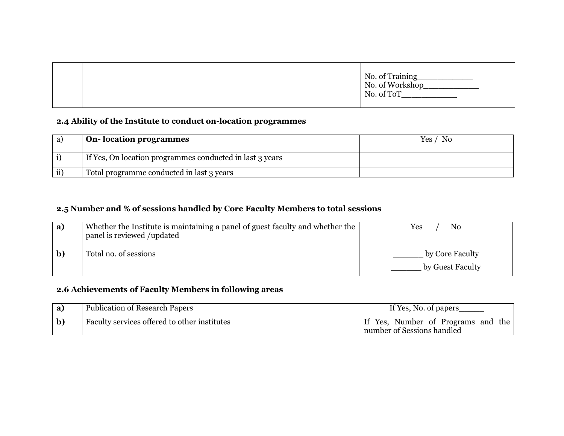|  | No. of Training<br>No. of Workshop<br>No. of ToT |
|--|--------------------------------------------------|
|  |                                                  |

## **2.4 Ability of the Institute to conduct on-location programmes**

|     | On-location programmes                                   | Yes / No |
|-----|----------------------------------------------------------|----------|
|     | If Yes, On location programmes conducted in last 3 years |          |
| ii' | Total programme conducted in last 3 years                |          |

## **2.5 Number and % of sessions handled by Core Faculty Members to total sessions**

| a) | Whether the Institute is maintaining a panel of guest faculty and whether the<br>panel is reviewed /updated | No<br>Yes                           |
|----|-------------------------------------------------------------------------------------------------------------|-------------------------------------|
|    | Total no. of sessions                                                                                       | by Core Faculty<br>by Guest Faculty |

## **2.6 Achievements of Faculty Members in following areas**

| <b>Publication of Research Papers</b>        | If Yes, No. of papers                                            |  |
|----------------------------------------------|------------------------------------------------------------------|--|
| Faculty services offered to other institutes | If Yes, Number of Programs and the<br>number of Sessions handled |  |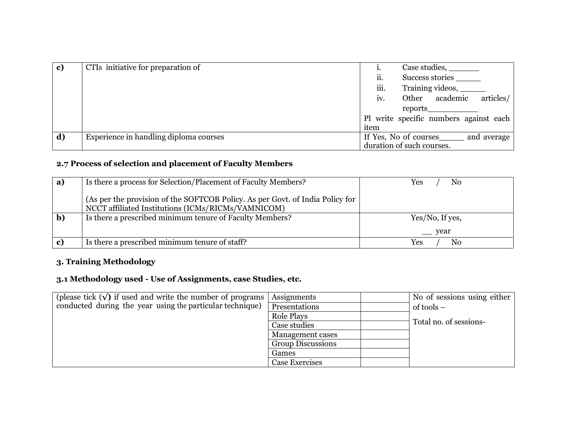| c) | CTIs initiative for preparation of     |                           |  | Case studies, ________                 |             |
|----|----------------------------------------|---------------------------|--|----------------------------------------|-------------|
|    |                                        | ii.<br>Success stories    |  |                                        |             |
|    |                                        | iii.                      |  |                                        |             |
|    |                                        | $\mathbf{iv}$ .           |  | Other academic                         | articles/   |
|    |                                        |                           |  |                                        |             |
|    |                                        |                           |  | Pl write specific numbers against each |             |
|    |                                        | item                      |  |                                        |             |
| d) | Experience in handling diploma courses | If Yes, No of courses     |  |                                        | and average |
|    |                                        | duration of such courses. |  |                                        |             |

## **2.7 Process of selection and placement of Faculty Members**

| a)           | Is there a process for Selection/Placement of Faculty Members?                                                                      | No<br>Yes                                          |
|--------------|-------------------------------------------------------------------------------------------------------------------------------------|----------------------------------------------------|
|              | (As per the provision of the SOFTCOB Policy. As per Govt. of India Policy for<br>NCCT affiliated Institutions (ICMs/RICMs/VAMNICOM) |                                                    |
| $\mathbf{b}$ | Is there a prescribed minimum tenure of Faculty Members?                                                                            | Yes/No, If yes,                                    |
|              |                                                                                                                                     | year<br><b>Contract Contract Contract Contract</b> |
| c)           | Is there a prescribed minimum tenure of staff?                                                                                      | No<br>Yes                                          |

## **3. Training Methodology**

### **3.1 Methodology used - Use of Assignments, case Studies, etc.**

| (please tick $(\sqrt{\ } )$ if used and write the number of programs | Assignments              | No of sessions using either |
|----------------------------------------------------------------------|--------------------------|-----------------------------|
| conducted during the year using the particular technique)            | Presentations            | of tools $-$                |
|                                                                      | <b>Role Plays</b>        |                             |
|                                                                      | Case studies             | Total no. of sessions-      |
|                                                                      | Management cases         |                             |
|                                                                      | <b>Group Discussions</b> |                             |
|                                                                      | Games                    |                             |
|                                                                      | Case Exercises           |                             |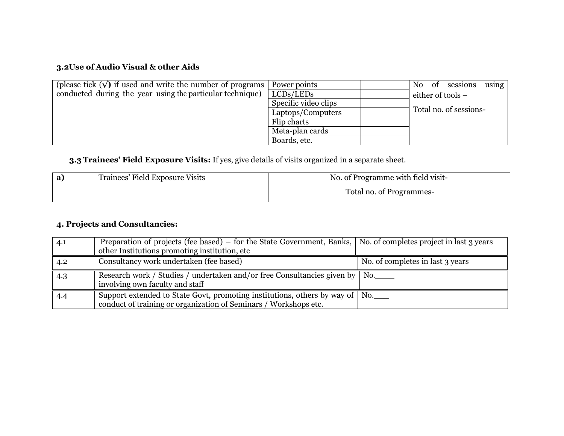## **3.2Use of Audio Visual & other Aids**

| (please tick $(\sqrt{\ } )$ if used and write the number of programs | Power points         | sessions<br>using<br>No<br>of |
|----------------------------------------------------------------------|----------------------|-------------------------------|
| conducted during the year using the particular technique)            | LCDs/LEDs            | either of tools –             |
|                                                                      | Specific video clips |                               |
|                                                                      | Laptops/Computers    | Total no. of sessions-        |
|                                                                      | Flip charts          |                               |
|                                                                      | Meta-plan cards      |                               |
|                                                                      | Boards, etc.         |                               |

## **3.3 Trainees' Field Exposure Visits:** If yes, give details of visits organized in a separate sheet.

| Trainees' Field Exposure Visits | No. of Programme with field visit- |  |
|---------------------------------|------------------------------------|--|
|                                 | Total no. of Programmes-           |  |

## **4. Projects and Consultancies:**

| 4.1 | Preparation of projects (fee based) – for the State Government, Banks, $\vert$ No. of completes project in last 3 years<br>other Institutions promoting institution, etc |                                  |
|-----|--------------------------------------------------------------------------------------------------------------------------------------------------------------------------|----------------------------------|
| 4.2 | Consultancy work undertaken (fee based)                                                                                                                                  | No. of completes in last 3 years |
| 4.3 | Research work / Studies / undertaken and/or free Consultancies given by   No.<br>involving own faculty and staff                                                         |                                  |
| 4.4 | Support extended to State Govt, promoting institutions, others by way of   No.<br>conduct of training or organization of Seminars / Workshops etc.                       |                                  |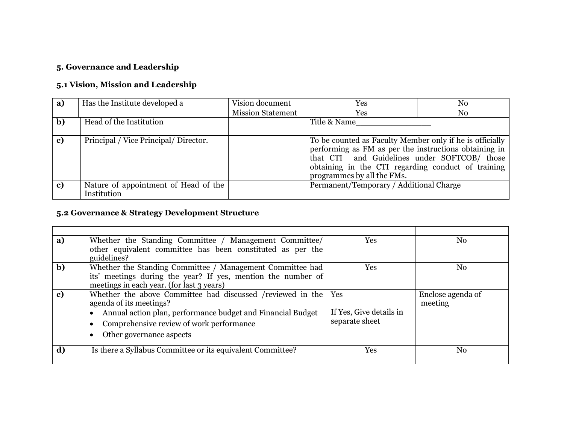## **5. Governance and Leadership**

## **5.1 Vision, Mission and Leadership**

| a) | Has the Institute developed a                       | Vision document          | Yes                                                                                                                                                                                                                                                   | No |
|----|-----------------------------------------------------|--------------------------|-------------------------------------------------------------------------------------------------------------------------------------------------------------------------------------------------------------------------------------------------------|----|
|    |                                                     | <b>Mission Statement</b> | Yes                                                                                                                                                                                                                                                   | No |
| b) | Head of the Institution                             |                          | Title & Name                                                                                                                                                                                                                                          |    |
| c) | Principal / Vice Principal / Director.              |                          | To be counted as Faculty Member only if he is officially<br>performing as FM as per the instructions obtaining in<br>that CTI and Guidelines under SOFTCOB/ those<br>obtaining in the CTI regarding conduct of training<br>programmes by all the FMs. |    |
| c) | Nature of appointment of Head of the<br>Institution |                          | Permanent/Temporary / Additional Charge                                                                                                                                                                                                               |    |

## **5.2 Governance & Strategy Development Structure**

| a)           | Whether the Standing Committee / Management Committee/<br>other equivalent committee has been constituted as per the<br>guidelines?                                                                                          | Yes                                              | No                           |
|--------------|------------------------------------------------------------------------------------------------------------------------------------------------------------------------------------------------------------------------------|--------------------------------------------------|------------------------------|
| $\mathbf{b}$ | Whether the Standing Committee / Management Committee had<br>its' meetings during the year? If yes, mention the number of<br>meetings in each year. (for last 3 years)                                                       | Yes                                              | No                           |
| c)           | Whether the above Committee had discussed /reviewed in the<br>agenda of its meetings?<br>Annual action plan, performance budget and Financial Budget<br>Comprehensive review of work performance<br>Other governance aspects | Yes<br>If Yes, Give details in<br>separate sheet | Enclose agenda of<br>meeting |
| d)           | Is there a Syllabus Committee or its equivalent Committee?                                                                                                                                                                   | Yes                                              | No                           |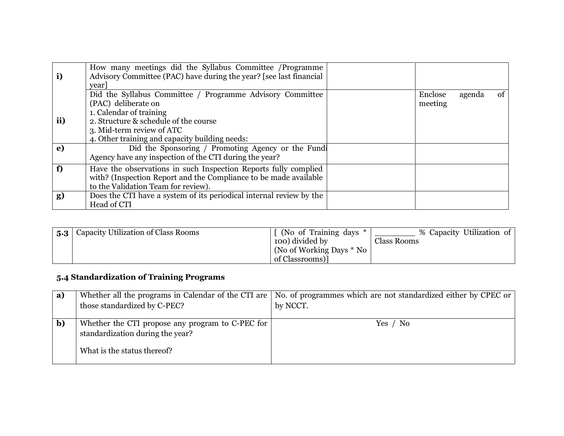| i)  | How many meetings did the Syllabus Committee /Programme<br>Advisory Committee (PAC) have during the year? [see last financial<br>year]                                                                                              |                    |        |          |
|-----|-------------------------------------------------------------------------------------------------------------------------------------------------------------------------------------------------------------------------------------|--------------------|--------|----------|
| ii) | Did the Syllabus Committee / Programme Advisory Committee<br>(PAC) deliberate on<br>1. Calendar of training<br>2. Structure & schedule of the course<br>3. Mid-term review of ATC<br>4. Other training and capacity building needs: | Enclose<br>meeting | agenda | $\sigma$ |
| e)  | Did the Sponsoring / Promoting Agency or the Fundi<br>Agency have any inspection of the CTI during the year?                                                                                                                        |                    |        |          |
| f   | Have the observations in such Inspection Reports fully complied<br>with? (Inspection Report and the Compliance to be made available<br>to the Validation Team for review).                                                          |                    |        |          |
| g)  | Does the CTI have a system of its periodical internal review by the<br>Head of CTI                                                                                                                                                  |                    |        |          |

| 5.3 | Capacity Utilization of Class Rooms | (No of Training days *)  | % Capacity Utilization of |
|-----|-------------------------------------|--------------------------|---------------------------|
|     |                                     | 100) divided by          | <b>Class Rooms</b>        |
|     |                                     | (No of Working Days * No |                           |
|     |                                     | of Classrooms)           |                           |

# **5.4 Standardization of Training Programs**

| a)           |                                                  | Whether all the programs in Calendar of the CTI are   No. of programmes which are not standardized either by CPEC or |
|--------------|--------------------------------------------------|----------------------------------------------------------------------------------------------------------------------|
|              | those standardized by C-PEC?                     | by NCCT.                                                                                                             |
|              |                                                  |                                                                                                                      |
| $\mathbf{b}$ | Whether the CTI propose any program to C-PEC for | Yes / No                                                                                                             |
|              | standardization during the year?                 |                                                                                                                      |
|              | What is the status thereof?                      |                                                                                                                      |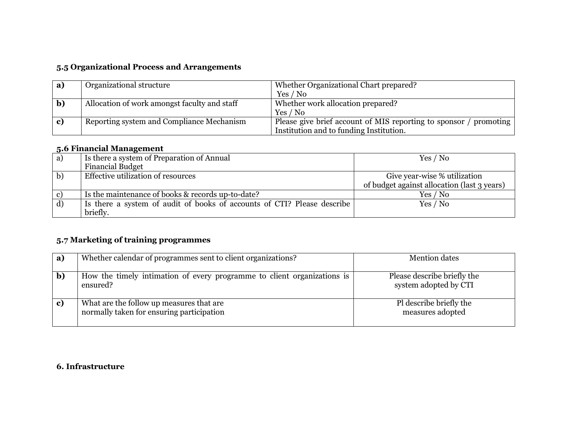## **5.5 Organizational Process and Arrangements**

| a) | Organizational structure                                                                                         | Whether Organizational Chart prepared?  |
|----|------------------------------------------------------------------------------------------------------------------|-----------------------------------------|
|    |                                                                                                                  | Yes / No                                |
|    | Allocation of work amongst faculty and staff                                                                     | Whether work allocation prepared?       |
|    |                                                                                                                  | Yes / No                                |
|    | Please give brief account of MIS reporting to sponsor / promoting  <br>Reporting system and Compliance Mechanism |                                         |
|    |                                                                                                                  | Institution and to funding Institution. |

## **5.6 Financial Management**

| a)           | Is there a system of Preparation of Annual                              | Yes / No                                    |
|--------------|-------------------------------------------------------------------------|---------------------------------------------|
|              | <b>Financial Budget</b>                                                 |                                             |
| $\mathbf{b}$ | Effective utilization of resources                                      | Give year-wise % utilization                |
|              |                                                                         | of budget against allocation (last 3 years) |
|              | Is the maintenance of books & records up-to-date?                       | Yes / No                                    |
| d)           | Is there a system of audit of books of accounts of CTI? Please describe | Yes / No                                    |
|              | briefly.                                                                |                                             |

## **5.7 Marketing of training programmes**

| a)          | Whether calendar of programmes sent to client organizations?                          | <b>Mention dates</b>                                 |
|-------------|---------------------------------------------------------------------------------------|------------------------------------------------------|
| $\mathbf b$ | How the timely intimation of every programme to client organizations is<br>ensured?   | Please describe briefly the<br>system adopted by CTI |
| c)          | What are the follow up measures that are<br>normally taken for ensuring participation | Pl describe briefly the<br>measures adopted          |

## **6. Infrastructure**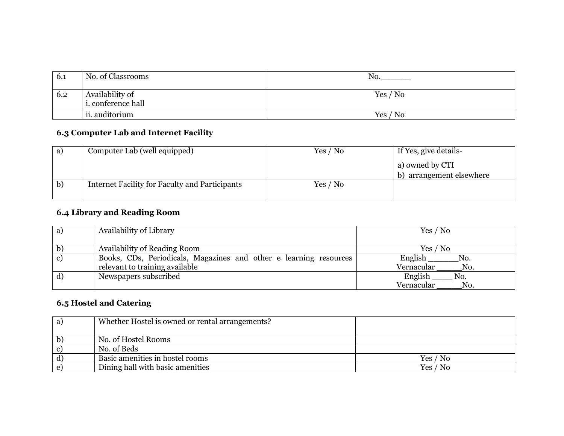| 6.1 | No. of Classrooms                            | No.      |
|-----|----------------------------------------------|----------|
| 6.2 | Availability of<br><i>i.</i> conference hall | Yes / No |
|     | ii. auditorium                               | Yes / No |

# **6.3 Computer Lab and Internet Facility**

| a) | Computer Lab (well equipped)                   | Yes / No | If Yes, give details-    |
|----|------------------------------------------------|----------|--------------------------|
|    |                                                |          | a) owned by CTI          |
|    |                                                |          | b) arrangement elsewhere |
| b) | Internet Facility for Faculty and Participants | Yes / No |                          |

## **6.4 Library and Reading Room**

| a) | Availability of Library                                           | Yes / No          |
|----|-------------------------------------------------------------------|-------------------|
|    |                                                                   |                   |
| b) | Availability of Reading Room                                      | Yes / No          |
| c) | Books, CDs, Periodicals, Magazines and other e learning resources | English<br>No.    |
|    | relevant to training available                                    | Vernacular<br>No. |
| d) | Newspapers subscribed                                             | English<br>No.    |
|    |                                                                   | Vernacular<br>No. |

## **6.5 Hostel and Catering**

| a)           | Whether Hostel is owned or rental arrangements? |          |
|--------------|-------------------------------------------------|----------|
|              | No. of Hostel Rooms                             |          |
| $\mathbf{c}$ | No. of Beds                                     |          |
| $\mathbf{d}$ | Basic amenities in hostel rooms                 | Yes / No |
| e            | Dining hall with basic amenities                | Yes / No |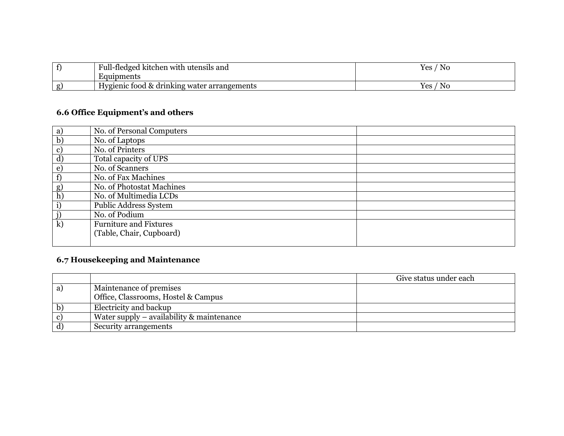|   | Full-fledged.<br>i kitchen with utensils and | <b>Yes</b><br>No           |
|---|----------------------------------------------|----------------------------|
|   | Equipments                                   |                            |
| σ | Hygienic food & drinking water arrangements  | Yes<br>$\sim$ $\sim$<br>N0 |

# **6.6 Office Equipment's and others**

| a)            | No. of Personal Computers     |  |
|---------------|-------------------------------|--|
| b)            | No. of Laptops                |  |
| $\mathbf{c})$ | No. of Printers               |  |
| d)            | Total capacity of UPS         |  |
| $\epsilon$    | No. of Scanners               |  |
| f)            | No. of Fax Machines           |  |
| g)            | No. of Photostat Machines     |  |
| h)            | No. of Multimedia LCDs        |  |
| i)            | Public Address System         |  |
| <u>j)</u>     | No. of Podium                 |  |
| $\mathbf{k}$  | <b>Furniture and Fixtures</b> |  |
|               | (Table, Chair, Cupboard)      |  |
|               |                               |  |

# **6.7 Housekeeping and Maintenance**

|   |                                                | Give status under each |
|---|------------------------------------------------|------------------------|
| a | Maintenance of premises                        |                        |
|   | Office, Classrooms, Hostel & Campus            |                        |
|   | Electricity and backup                         |                        |
|   | Water supply $-$ availability $\&$ maintenance |                        |
|   | Security arrangements                          |                        |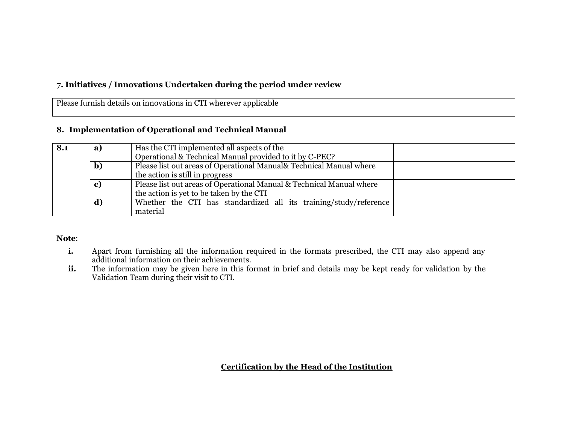## **7. Initiatives / Innovations Undertaken during the period under review**

Please furnish details on innovations in CTI wherever applicable

#### **8. Implementation of Operational and Technical Manual**

| 8.1 | a) | Has the CTI implemented all aspects of the                           |  |
|-----|----|----------------------------------------------------------------------|--|
|     |    | Operational & Technical Manual provided to it by C-PEC?              |  |
|     | b) | Please list out areas of Operational Manual& Technical Manual where  |  |
|     |    | the action is still in progress                                      |  |
|     | c) | Please list out areas of Operational Manual & Technical Manual where |  |
|     |    | the action is yet to be taken by the CTI                             |  |
|     | d) | Whether the CTI has standardized all its training/study/reference    |  |
|     |    | material                                                             |  |

#### **Note**:

- **i.** Apart from furnishing all the information required in the formats prescribed, the CTI may also append any additional information on their achievements.
- **ii.** The information may be given here in this format in brief and details may be kept ready for validation by the Validation Team during their visit to CTI.

**Certification by the Head of the Institution**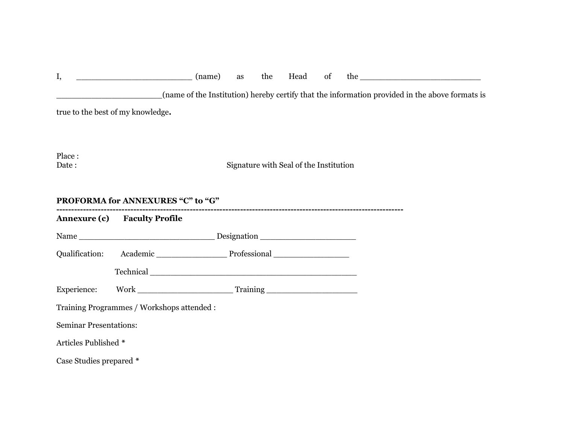| I,                            | $\frac{1}{2}$ (name)                                                                                           | as | the | Head                                   | of |  |                                                                                                |  |
|-------------------------------|----------------------------------------------------------------------------------------------------------------|----|-----|----------------------------------------|----|--|------------------------------------------------------------------------------------------------|--|
|                               |                                                                                                                |    |     |                                        |    |  | (name of the Institution) hereby certify that the information provided in the above formats is |  |
|                               | true to the best of my knowledge.                                                                              |    |     |                                        |    |  |                                                                                                |  |
| Place:<br>Date:               |                                                                                                                |    |     | Signature with Seal of the Institution |    |  |                                                                                                |  |
|                               | PROFORMA for ANNEXURES "C" to "G"                                                                              |    |     |                                        |    |  |                                                                                                |  |
|                               | <b>Annexure (c)</b> Faculty Profile                                                                            |    |     |                                        |    |  |                                                                                                |  |
|                               |                                                                                                                |    |     |                                        |    |  |                                                                                                |  |
| Qualification:                | Academic Professional Professional                                                                             |    |     |                                        |    |  |                                                                                                |  |
|                               | Technical Communication of the contract of the contract of the contract of the contract of the contract of the |    |     |                                        |    |  |                                                                                                |  |
| Experience:                   |                                                                                                                |    |     |                                        |    |  |                                                                                                |  |
|                               | Training Programmes / Workshops attended :                                                                     |    |     |                                        |    |  |                                                                                                |  |
| <b>Seminar Presentations:</b> |                                                                                                                |    |     |                                        |    |  |                                                                                                |  |
| Articles Published *          |                                                                                                                |    |     |                                        |    |  |                                                                                                |  |
| Case Studies prepared *       |                                                                                                                |    |     |                                        |    |  |                                                                                                |  |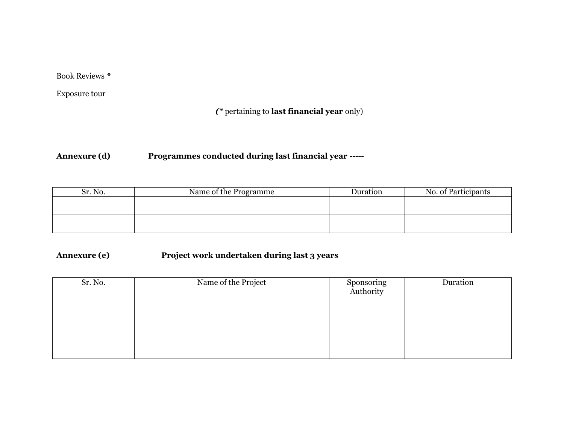Book Reviews *\**

Exposure tour

## *(\** pertaining to **last financial year** only)

## **Annexure (d) Programmes conducted during last financial year -----**

| Sr. No. | Name of the Programme | Duration | No. of Participants |
|---------|-----------------------|----------|---------------------|
|         |                       |          |                     |
|         |                       |          |                     |
|         |                       |          |                     |
|         |                       |          |                     |

## **Annexure (e) Project work undertaken during last 3 years**

| Sr. No. | Name of the Project | Sponsoring<br>Authority | Duration |
|---------|---------------------|-------------------------|----------|
|         |                     |                         |          |
|         |                     |                         |          |
|         |                     |                         |          |